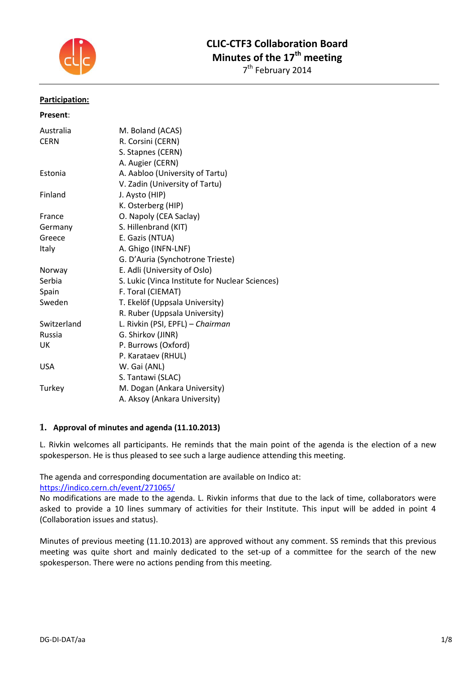

# **CLIC-CTF3 Collaboration Board Minutes of the 17th meeting**

7<sup>th</sup> February 2014

#### **Participation:**

| Present:    |                                                 |
|-------------|-------------------------------------------------|
| Australia   | M. Boland (ACAS)                                |
| <b>CERN</b> | R. Corsini (CERN)                               |
|             | S. Stapnes (CERN)                               |
|             | A. Augier (CERN)                                |
| Estonia     | A. Aabloo (University of Tartu)                 |
|             | V. Zadin (University of Tartu)                  |
| Finland     | J. Aysto (HIP)                                  |
|             | K. Osterberg (HIP)                              |
| France      | O. Napoly (CEA Saclay)                          |
| Germany     | S. Hillenbrand (KIT)                            |
| Greece      | E. Gazis (NTUA)                                 |
| Italy       | A. Ghigo (INFN-LNF)                             |
|             | G. D'Auria (Synchotrone Trieste)                |
| Norway      | E. Adli (University of Oslo)                    |
| Serbia      | S. Lukic (Vinca Institute for Nuclear Sciences) |
| Spain       | F. Toral (CIEMAT)                               |
| Sweden      | T. Ekelöf (Uppsala University)                  |
|             | R. Ruber (Uppsala University)                   |
| Switzerland | L. Rivkin (PSI, EPFL) - Chairman                |
| Russia      | G. Shirkov (JINR)                               |
| UK          | P. Burrows (Oxford)                             |
|             | P. Karataev (RHUL)                              |
| <b>USA</b>  | W. Gai (ANL)                                    |
|             | S. Tantawi (SLAC)                               |
| Turkey      | M. Dogan (Ankara University)                    |
|             | A. Aksoy (Ankara University)                    |

#### **1. Approval of minutes and agenda (11.10.2013)**

L. Rivkin welcomes all participants. He reminds that the main point of the agenda is the election of a new spokesperson. He is thus pleased to see such a large audience attending this meeting.

The agenda and corresponding documentation are available on Indico at:

<https://indico.cern.ch/event/271065/>

No modifications are made to the agenda. L. Rivkin informs that due to the lack of time, collaborators were asked to provide a 10 lines summary of activities for their Institute. This input will be added in point 4 (Collaboration issues and status).

Minutes of previous meeting (11.10.2013) are approved without any comment. SS reminds that this previous meeting was quite short and mainly dedicated to the set-up of a committee for the search of the new spokesperson. There were no actions pending from this meeting.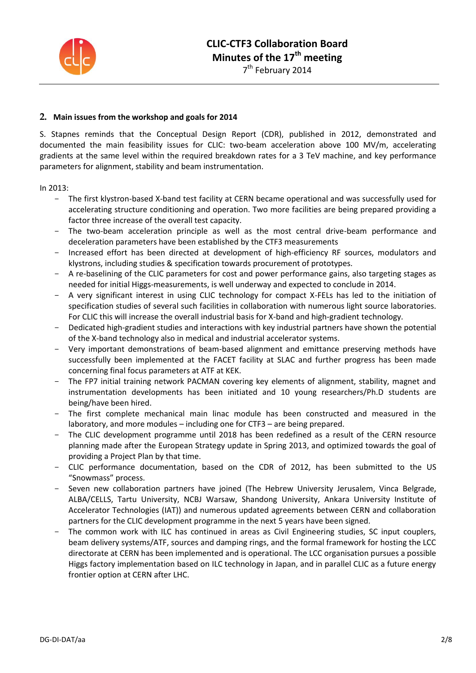

## **2. Main issues from the workshop and goals for 2014**

S. Stapnes reminds that the Conceptual Design Report (CDR), published in 2012, demonstrated and documented the main feasibility issues for CLIC: two-beam acceleration above 100 MV/m, accelerating gradients at the same level within the required breakdown rates for a 3 TeV machine, and key performance parameters for alignment, stability and beam instrumentation.

In 2013:

- The first klystron-based X-band test facility at CERN became operational and was successfully used for accelerating structure conditioning and operation. Two more facilities are being prepared providing a factor three increase of the overall test capacity.
- The two-beam acceleration principle as well as the most central drive-beam performance and deceleration parameters have been established by the CTF3 measurements
- Increased effort has been directed at development of high-efficiency RF sources, modulators and klystrons, including studies & specification towards procurement of prototypes.
- A re-baselining of the CLIC parameters for cost and power performance gains, also targeting stages as needed for initial Higgs-measurements, is well underway and expected to conclude in 2014.
- A very significant interest in using CLIC technology for compact X-FELs has led to the initiation of specification studies of several such facilities in collaboration with numerous light source laboratories. For CLIC this will increase the overall industrial basis for X-band and high-gradient technology.
- Dedicated high-gradient studies and interactions with key industrial partners have shown the potential of the X-band technology also in medical and industrial accelerator systems.
- Very important demonstrations of beam-based alignment and emittance preserving methods have successfully been implemented at the FACET facility at SLAC and further progress has been made concerning final focus parameters at ATF at KEK.
- The FP7 initial training network PACMAN covering key elements of alignment, stability, magnet and instrumentation developments has been initiated and 10 young researchers/Ph.D students are being/have been hired.
- The first complete mechanical main linac module has been constructed and measured in the laboratory, and more modules – including one for CTF3 – are being prepared.
- The CLIC development programme until 2018 has been redefined as a result of the CERN resource planning made after the European Strategy update in Spring 2013, and optimized towards the goal of providing a Project Plan by that time.
- CLIC performance documentation, based on the CDR of 2012, has been submitted to the US "Snowmass" process.
- Seven new collaboration partners have joined (The Hebrew University Jerusalem, Vinca Belgrade, ALBA/CELLS, Tartu University, NCBJ Warsaw, Shandong University, Ankara University Institute of Accelerator Technologies (IAT)) and numerous updated agreements between CERN and collaboration partners for the CLIC development programme in the next 5 years have been signed.
- The common work with ILC has continued in areas as Civil Engineering studies, SC input couplers, beam delivery systems/ATF, sources and damping rings, and the formal framework for hosting the LCC directorate at CERN has been implemented and is operational. The LCC organisation pursues a possible Higgs factory implementation based on ILC technology in Japan, and in parallel CLIC as a future energy frontier option at CERN after LHC.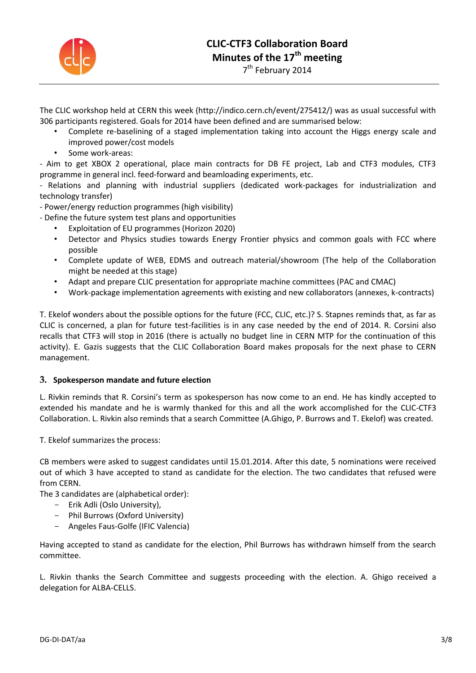

The CLIC workshop held at CERN this week (http://indico.cern.ch/event/275412/) was as usual successful with 306 participants registered. Goals for 2014 have been defined and are summarised below:

- Complete re-baselining of a staged implementation taking into account the Higgs energy scale and improved power/cost models
- Some work-areas:

- Aim to get XBOX 2 operational, place main contracts for DB FE project, Lab and CTF3 modules, CTF3 programme in general incl. feed-forward and beamloading experiments, etc.

- Relations and planning with industrial suppliers (dedicated work-packages for industrialization and technology transfer)

- Power/energy reduction programmes (high visibility)

- Define the future system test plans and opportunities
	- Exploitation of EU programmes (Horizon 2020)
	- Detector and Physics studies towards Energy Frontier physics and common goals with FCC where possible
	- Complete update of WEB, EDMS and outreach material/showroom (The help of the Collaboration might be needed at this stage)
	- Adapt and prepare CLIC presentation for appropriate machine committees (PAC and CMAC)
	- Work-package implementation agreements with existing and new collaborators (annexes, k-contracts)

T. Ekelof wonders about the possible options for the future (FCC, CLIC, etc.)? S. Stapnes reminds that, as far as CLIC is concerned, a plan for future test-facilities is in any case needed by the end of 2014. R. Corsini also recalls that CTF3 will stop in 2016 (there is actually no budget line in CERN MTP for the continuation of this activity). E. Gazis suggests that the CLIC Collaboration Board makes proposals for the next phase to CERN management.

## **3. Spokesperson mandate and future election**

L. Rivkin reminds that R. Corsini's term as spokesperson has now come to an end. He has kindly accepted to extended his mandate and he is warmly thanked for this and all the work accomplished for the CLIC-CTF3 Collaboration. L. Rivkin also reminds that a search Committee (A.Ghigo, P. Burrows and T. Ekelof) was created.

T. Ekelof summarizes the process:

CB members were asked to suggest candidates until 15.01.2014. After this date, 5 nominations were received out of which 3 have accepted to stand as candidate for the election. The two candidates that refused were from CERN.

The 3 candidates are (alphabetical order):

- Erik Adli (Oslo University),
- Phil Burrows (Oxford University)
- Angeles Faus-Golfe (IFIC Valencia)

Having accepted to stand as candidate for the election, Phil Burrows has withdrawn himself from the search committee.

L. Rivkin thanks the Search Committee and suggests proceeding with the election. A. Ghigo received a delegation for ALBA-CELLS.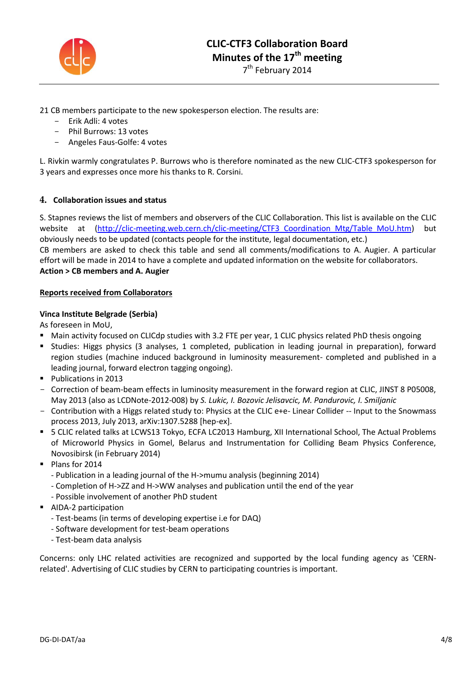

21 CB members participate to the new spokesperson election. The results are:

- Erik Adli: 4 votes
- Phil Burrows: 13 votes
- Angeles Faus-Golfe: 4 votes

L. Rivkin warmly congratulates P. Burrows who is therefore nominated as the new CLIC-CTF3 spokesperson for 3 years and expresses once more his thanks to R. Corsini.

## **4. Collaboration issues and status**

S. Stapnes reviews the list of members and observers of the CLIC Collaboration. This list is available on the CLIC website at (http://clic-meeting.web.cern.ch/clic-meeting/CTF3 Coordination Mtg/Table MoU.htm) but obviously needs to be updated (contacts people for the institute, legal documentation, etc.) CB members are asked to check this table and send all comments/modifications to A. Augier. A particular effort will be made in 2014 to have a complete and updated information on the website for collaborators. **Action > CB members and A. Augier**

#### **Reports received from Collaborators**

## **Vinca Institute Belgrade (Serbia)**

As foreseen in MoU,

- Main activity focused on CLICdp studies with 3.2 FTE per year, 1 CLIC physics related PhD thesis ongoing
- **Studies: Higgs physics (3 analyses, 1 completed, publication in leading journal in preparation), forward** region studies (machine induced background in luminosity measurement- completed and published in a leading journal, forward electron tagging ongoing).
- Publications in 2013
- Correction of beam-beam effects in luminosity measurement in the forward region at CLIC, JINST 8 P05008, May 2013 (also as LCDNote-2012-008) by *S. Lukic, I. Bozovic Jelisavcic, M. Pandurovic, I. Smiljanic*
- Contribution with a Higgs related study to: Physics at the CLIC e+e- Linear Collider -- Input to the Snowmass process 2013, July 2013, arXiv:1307.5288 [hep-ex].
- 5 CLIC related talks at LCWS13 Tokyo, ECFA LC2013 Hamburg, XII International School, The Actual Problems of Microworld Physics in Gomel, Belarus and Instrumentation for Colliding Beam Physics Conference, Novosibirsk (in February 2014)
- Plans for 2014
	- Publication in a leading journal of the H->mumu analysis (beginning 2014)
	- Completion of H->ZZ and H->WW analyses and publication until the end of the year
	- Possible involvement of another PhD student
- **AIDA-2 participation** 
	- Test-beams (in terms of developing expertise i.e for DAQ)
	- Software development for test-beam operations
	- Test-beam data analysis

Concerns: only LHC related activities are recognized and supported by the local funding agency as 'CERNrelated'. Advertising of CLIC studies by CERN to participating countries is important.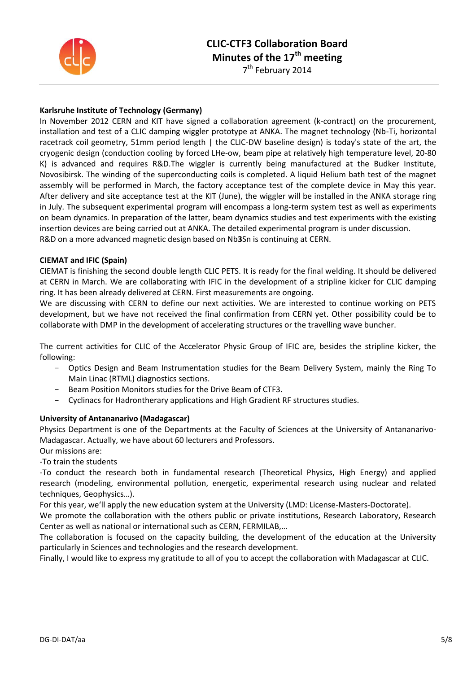

## **CLIC-CTF3 Collaboration Board Minutes of the 17th meeting**

7<sup>th</sup> February 2014

## **Karlsruhe Institute of Technology (Germany)**

In November 2012 CERN and KIT have signed a collaboration agreement (k-contract) on the procurement, installation and test of a CLIC damping wiggler prototype at ANKA. The magnet technology (Nb-Ti, horizontal racetrack coil geometry, 51mm period length | the CLIC-DW baseline design) is today's state of the art, the cryogenic design (conduction cooling by forced LHe-ow, beam pipe at relatively high temperature level, 20-80 K) is advanced and requires R&D.The wiggler is currently being manufactured at the Budker Institute, Novosibirsk. The winding of the superconducting coils is completed. A liquid Helium bath test of the magnet assembly will be performed in March, the factory acceptance test of the complete device in May this year. After delivery and site acceptance test at the KIT (June), the wiggler will be installed in the ANKA storage ring in July. The subsequent experimental program will encompass a long-term system test as well as experiments on beam dynamics. In preparation of the latter, beam dynamics studies and test experiments with the existing insertion devices are being carried out at ANKA. The detailed experimental program is under discussion. R&D on a more advanced magnetic design based on Nb**3**Sn is continuing at CERN.

#### **CIEMAT and IFIC (Spain)**

CIEMAT is finishing the second double length CLIC PETS. It is ready for the final welding. It should be delivered at CERN in March. We are collaborating with IFIC in the development of a stripline kicker for CLIC damping ring. It has been already delivered at CERN. First measurements are ongoing.

We are discussing with CERN to define our next activities. We are interested to continue working on PETS development, but we have not received the final confirmation from CERN yet. Other possibility could be to collaborate with DMP in the development of accelerating structures or the travelling wave buncher.

The current activities for CLIC of the Accelerator Physic Group of IFIC are, besides the stripline kicker, the following:

- Optics Design and Beam Instrumentation studies for the Beam Delivery System, mainly the Ring To Main Linac (RTML) diagnostics sections.
- Beam Position Monitors studies for the Drive Beam of CTF3.
- Cyclinacs for Hadrontherary applications and High Gradient RF structures studies.

#### **University of Antananarivo (Madagascar)**

Physics Department is one of the Departments at the Faculty of Sciences at the University of Antananarivo-Madagascar. Actually, we have about 60 lecturers and Professors.

Our missions are:

-To train the students

-To conduct the research both in fundamental research (Theoretical Physics, High Energy) and applied research (modeling, environmental pollution, energetic, experimental research using nuclear and related techniques, Geophysics…).

For this year, we'll apply the new education system at the University (LMD: License-Masters-Doctorate).

We promote the collaboration with the others public or private institutions, Research Laboratory, Research Center as well as national or international such as CERN, FERMILAB,…

The collaboration is focused on the capacity building, the development of the education at the University particularly in Sciences and technologies and the research development.

Finally, I would like to express my gratitude to all of you to accept the collaboration with Madagascar at CLIC.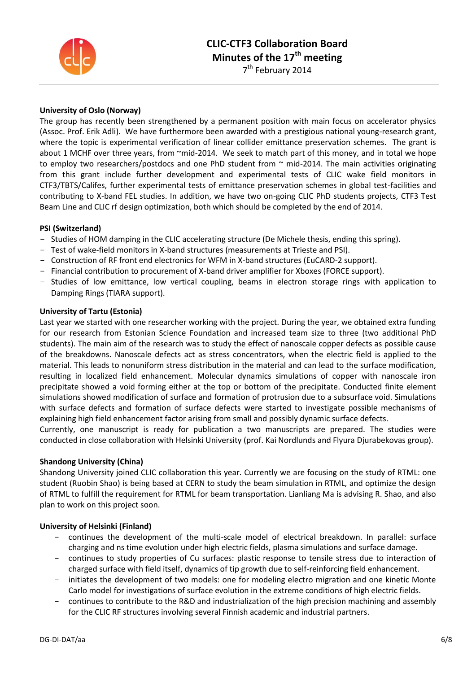

## **University of Oslo (Norway)**

The group has recently been strengthened by a permanent position with main focus on accelerator physics (Assoc. Prof. Erik Adli). We have furthermore been awarded with a prestigious national young-research grant, where the topic is experimental verification of linear collider emittance preservation schemes. The grant is about 1 MCHF over three years, from "mid-2014. We seek to match part of this money, and in total we hope to employ two researchers/postdocs and one PhD student from  $\sim$  mid-2014. The main activities originating from this grant include further development and experimental tests of CLIC wake field monitors in CTF3/TBTS/Califes, further experimental tests of emittance preservation schemes in global test-facilities and contributing to X-band FEL studies. In addition, we have two on-going CLIC PhD students projects, CTF3 Test Beam Line and CLIC rf design optimization, both which should be completed by the end of 2014.

## **PSI (Switzerland)**

- Studies of HOM damping in the CLIC accelerating structure (De Michele thesis, ending this spring).
- Test of wake-field monitors in X-band structures (measurements at Trieste and PSI).
- Construction of RF front end electronics for WFM in X-band structures (EuCARD-2 support).
- Financial contribution to procurement of X-band driver amplifier for Xboxes (FORCE support).
- Studies of low emittance, low vertical coupling, beams in electron storage rings with application to Damping Rings (TIARA support).

#### **University of Tartu (Estonia)**

Last year we started with one researcher working with the project. During the year, we obtained extra funding for our research from Estonian Science Foundation and increased team size to three (two additional PhD students). The main aim of the research was to study the effect of nanoscale copper defects as possible cause of the breakdowns. Nanoscale defects act as stress concentrators, when the electric field is applied to the material. This leads to nonuniform stress distribution in the material and can lead to the surface modification, resulting in localized field enhancement. Molecular dynamics simulations of copper with nanoscale iron precipitate showed a void forming either at the top or bottom of the precipitate. Conducted finite element simulations showed modification of surface and formation of protrusion due to a subsurface void. Simulations with surface defects and formation of surface defects were started to investigate possible mechanisms of explaining high field enhancement factor arising from small and possibly dynamic surface defects.

Currently, one manuscript is ready for publication a two manuscripts are prepared. The studies were conducted in close collaboration with Helsinki University (prof. Kai Nordlunds and Flyura Djurabekovas group).

#### **Shandong University (China)**

Shandong University joined CLIC collaboration this year. Currently we are focusing on the study of RTML: one student (Ruobin Shao) is being based at CERN to study the beam simulation in RTML, and optimize the design of RTML to fulfill the requirement for RTML for beam transportation. Lianliang Ma is advising R. Shao, and also plan to work on this project soon.

#### **University of Helsinki (Finland)**

- continues the development of the multi-scale model of electrical breakdown. In parallel: surface charging and ns time evolution under high electric fields, plasma simulations and surface damage.
- continues to study properties of Cu surfaces: plastic response to tensile stress due to interaction of charged surface with field itself, dynamics of tip growth due to self-reinforcing field enhancement.
- initiates the development of two models: one for modeling electro migration and one kinetic Monte Carlo model for investigations of surface evolution in the extreme conditions of high electric fields.
- continues to contribute to the R&D and industrialization of the high precision machining and assembly for the CLIC RF structures involving several Finnish academic and industrial partners.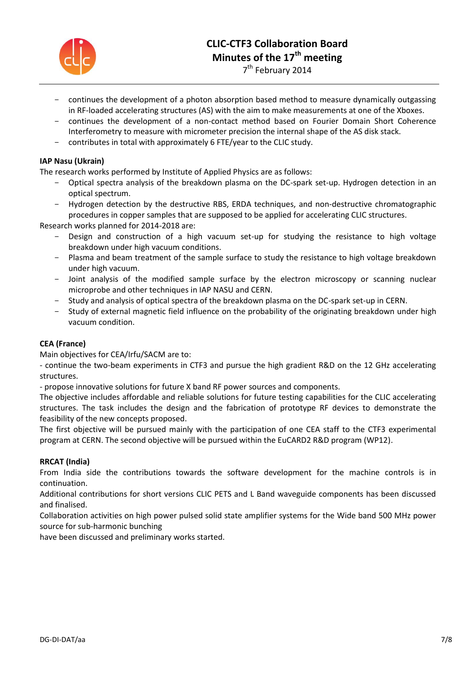

- continues the development of a photon absorption based method to measure dynamically outgassing in RF-loaded accelerating structures (AS) with the aim to make measurements at one of the Xboxes.
- continues the development of a non-contact method based on Fourier Domain Short Coherence Interferometry to measure with micrometer precision the internal shape of the AS disk stack.
- contributes in total with approximately 6 FTE/year to the CLIC study.

## **IAP Nasu (Ukrain)**

The research works performed by Institute of Applied Physics are as follows:

- Optical spectra analysis of the breakdown plasma on the DC-spark set-up. Hydrogen detection in an optical spectrum.
- Hydrogen detection by the destructive RBS, ERDA techniques, and non-destructive chromatographic procedures in copper samples that are supposed to be applied for accelerating CLIC structures.

Research works planned for 2014-2018 are:

- Design and construction of a high vacuum set-up for studying the resistance to high voltage breakdown under high vacuum conditions.
- Plasma and beam treatment of the sample surface to study the resistance to high voltage breakdown under high vacuum.
- Joint analysis of the modified sample surface by the electron microscopy or scanning nuclear microprobe and other techniques in IAP NASU and CERN.
- Study and analysis of optical spectra of the breakdown plasma on the DC-spark set-up in CERN.
- Study of external magnetic field influence on the probability of the originating breakdown under high vacuum condition.

## **CEA (France)**

Main objectives for CEA/Irfu/SACM are to:

- continue the two-beam experiments in CTF3 and pursue the high gradient R&D on the 12 GHz accelerating structures.

- propose innovative solutions for future X band RF power sources and components.

The objective includes affordable and reliable solutions for future testing capabilities for the CLIC accelerating structures. The task includes the design and the fabrication of prototype RF devices to demonstrate the feasibility of the new concepts proposed.

The first objective will be pursued mainly with the participation of one CEA staff to the CTF3 experimental program at CERN. The second objective will be pursued within the EuCARD2 R&D program (WP12).

#### **RRCAT (India)**

From India side the contributions towards the software development for the machine controls is in continuation.

Additional contributions for short versions CLIC PETS and L Band waveguide components has been discussed and finalised.

Collaboration activities on high power pulsed solid state amplifier systems for the Wide band 500 MHz power source for sub-harmonic bunching

have been discussed and preliminary works started.